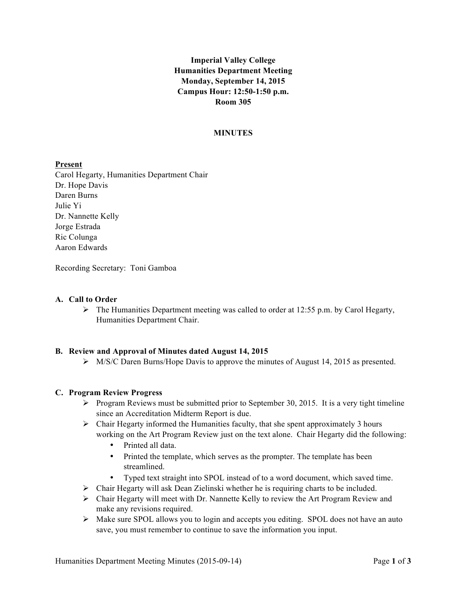# **Imperial Valley College Humanities Department Meeting Monday, September 14, 2015 Campus Hour: 12:50-1:50 p.m. Room 305**

#### **MINUTES**

### **Present**

Carol Hegarty, Humanities Department Chair Dr. Hope Davis Daren Burns Julie Yi Dr. Nannette Kelly Jorge Estrada Ric Colunga Aaron Edwards

Recording Secretary: Toni Gamboa

### **A. Call to Order**

 $\triangleright$  The Humanities Department meeting was called to order at 12:55 p.m. by Carol Hegarty, Humanities Department Chair.

#### **B. Review and Approval of Minutes dated August 14, 2015**

 $\triangleright$  M/S/C Daren Burns/Hope Davis to approve the minutes of August 14, 2015 as presented.

#### **C. Program Review Progress**

- $\triangleright$  Program Reviews must be submitted prior to September 30, 2015. It is a very tight timeline since an Accreditation Midterm Report is due.
- $\triangleright$  Chair Hegarty informed the Humanities faculty, that she spent approximately 3 hours working on the Art Program Review just on the text alone. Chair Hegarty did the following:
	- Printed all data.
	- Printed the template, which serves as the prompter. The template has been streamlined.
	- Typed text straight into SPOL instead of to a word document, which saved time.
- $\triangleright$  Chair Hegarty will ask Dean Zielinski whether he is requiring charts to be included.
- Ø Chair Hegarty will meet with Dr. Nannette Kelly to review the Art Program Review and make any revisions required.
- Ø Make sure SPOL allows you to login and accepts you editing. SPOL does not have an auto save, you must remember to continue to save the information you input.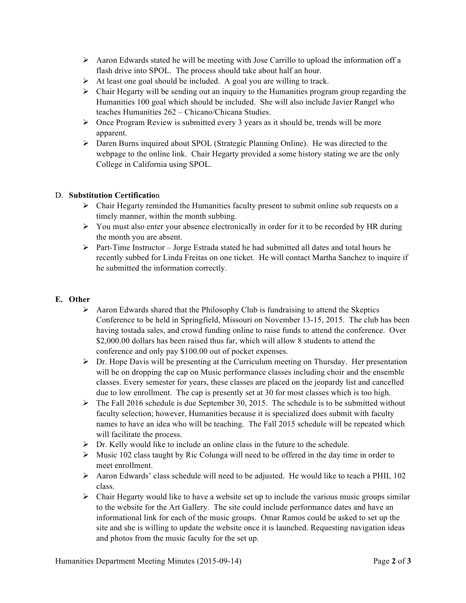- $\triangleright$  Aaron Edwards stated he will be meeting with Jose Carrillo to upload the information off a flash drive into SPOL. The process should take about half an hour.
- $\triangleright$  At least one goal should be included. A goal you are willing to track.
- $\triangleright$  Chair Hegarty will be sending out an inquiry to the Humanities program group regarding the Humanities 100 goal which should be included. She will also include Javier Rangel who teaches Humanities 262 – Chicano/Chicana Studies.
- $\triangleright$  Once Program Review is submitted every 3 years as it should be, trends will be more apparent.
- $\triangleright$  Daren Burns inquired about SPOL (Strategic Planning Online). He was directed to the webpage to the online link. Chair Hegarty provided a some history stating we are the only College in California using SPOL.

### D. **Substitution Certificatio**n

- $\triangleright$  Chair Hegarty reminded the Humanities faculty present to submit online sub requests on a timely manner, within the month subbing.
- $\triangleright$  You must also enter your absence electronically in order for it to be recorded by HR during the month you are absent.
- Ø Part-Time Instructor Jorge Estrada stated he had submitted all dates and total hours he recently subbed for Linda Freitas on one ticket. He will contact Martha Sanchez to inquire if he submitted the information correctly.

# **E. Other**

- $\triangleright$  Aaron Edwards shared that the Philosophy Club is fundraising to attend the Skeptics Conference to be held in Springfield, Missouri on November 13-15, 2015. The club has been having tostada sales, and crowd funding online to raise funds to attend the conference. Over \$2,000.00 dollars has been raised thus far, which will allow 8 students to attend the conference and only pay \$100.00 out of pocket expenses.
- $\triangleright$  Dr. Hope Davis will be presenting at the Curriculum meeting on Thursday. Her presentation will be on dropping the cap on Music performance classes including choir and the ensemble classes. Every semester for years, these classes are placed on the jeopardy list and cancelled due to low enrollment. The cap is presently set at 30 for most classes which is too high.
- $\triangleright$  The Fall 2016 schedule is due September 30, 2015. The schedule is to be submitted without faculty selection; however, Humanities because it is specialized does submit with faculty names to have an idea who will be teaching. The Fall 2015 schedule will be repeated which will facilitate the process.
- $\triangleright$  Dr. Kelly would like to include an online class in the future to the schedule.
- $\triangleright$  Music 102 class taught by Ric Colunga will need to be offered in the day time in order to meet enrollment.
- $\triangleright$  Aaron Edwards' class schedule will need to be adjusted. He would like to teach a PHIL 102 class.
- $\triangleright$  Chair Hegarty would like to have a website set up to include the various music groups similar to the website for the Art Gallery. The site could include performance dates and have an informational link for each of the music groups. Omar Ramos could be asked to set up the site and she is willing to update the website once it is launched. Requesting navigation ideas and photos from the music faculty for the set up.